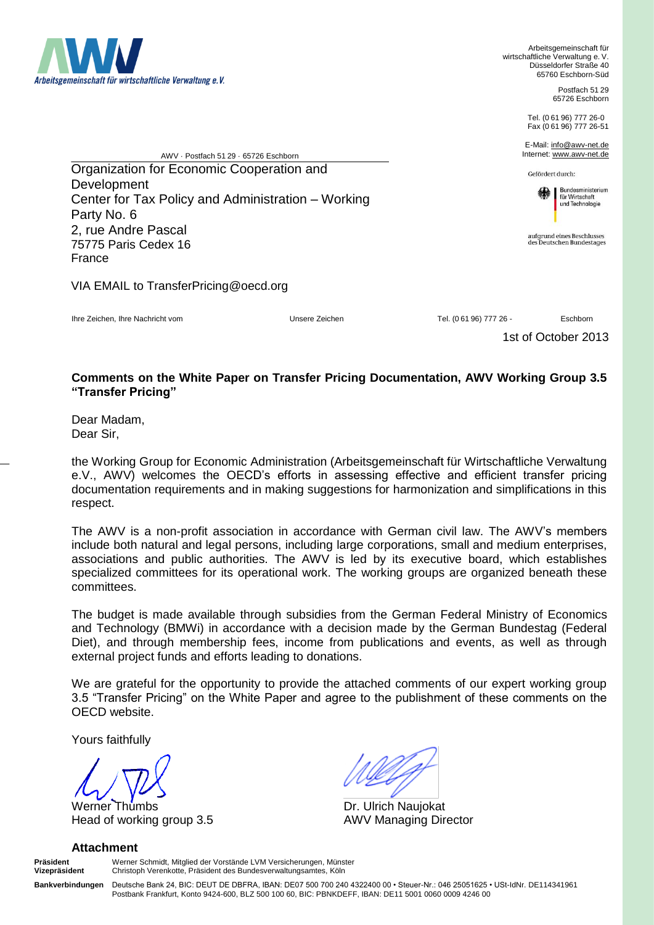

Arbeitsgemeinschaft für wirtschaftliche Verwaltung e. V. Düsseldorfer Straße 40 65760 Eschborn-Süd

> Postfach 51 29 65726 Eschborn

Tel. (061 96) 777 26-0 Fax (0 61 96) 777 26-51

E-Mail: info@awv-net.de Internet: www.awv-net.de

Gefördert durch:



aufgrund eines Beschlusses<br>des Deutschen Bundestages

AWV · Postfach 51 29 · 65726 Eschborn Organization for Economic Cooperation and Development Center for Tax Policy and Administration – Working Party No. 6 2, rue Andre Pascal 75775 Paris Cedex 16 France

VIA EMAIL to TransferPricing@oecd.org

Ihre Zeichen, Ihre Nachricht vom Unsere Zeichen Tel. (0 61 96) 777 26 - Eschborn

1st of October 2013

## **Comments on the White Paper on Transfer Pricing Documentation, AWV Working Group 3.5 "Transfer Pricing"**

Dear Madam, Dear Sir,

the Working Group for Economic Administration (Arbeitsgemeinschaft für Wirtschaftliche Verwaltung e.V., AWV) welcomes the OECD's efforts in assessing effective and efficient transfer pricing documentation requirements and in making suggestions for harmonization and simplifications in this respect.

The AWV is a non-profit association in accordance with German civil law. The AWV's members include both natural and legal persons, including large corporations, small and medium enterprises, associations and public authorities. The AWV is led by its executive board, which establishes specialized committees for its operational work. The working groups are organized beneath these committees.

The budget is made available through subsidies from the German Federal Ministry of Economics and Technology (BMWi) in accordance with a decision made by the German Bundestag (Federal Diet), and through membership fees, income from publications and events, as well as through external project funds and efforts leading to donations.

We are grateful for the opportunity to provide the attached comments of our expert working group 3.5 "Transfer Pricing" on the White Paper and agree to the publishment of these comments on the OECD website.

Yours faithfully

Werner Thumbs **Dr. Ulrich Naujokat** Head of working group 3.5 AWV Managing Director

## **Attachment**

**Präsident** Werner Schmidt, Mitglied der Vorstände LVM Versicherungen, Münster **Vizepräsident** Christoph Verenkotte, Präsident des Bundesverwaltungsamtes, Köln

**Bankverbindungen** Deutsche Bank 24, BIC: DEUT DE DBFRA, IBAN: DE07 500 700 240 4322400 00 • Steuer-Nr.: 046 25051625 • USt-IdNr. DE114341961 Postbank Frankfurt, Konto 9424-600, BLZ 500 100 60, BIC: PBNKDEFF, IBAN: DE11 5001 0060 0009 4246 00